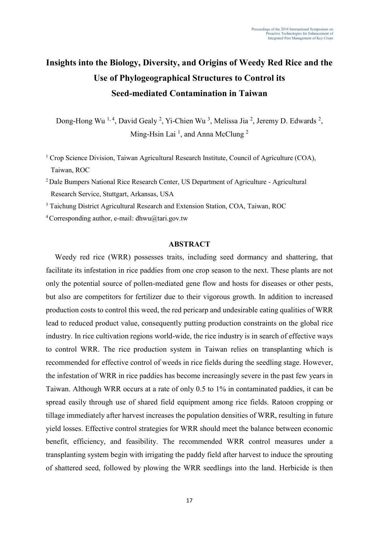# **Insights into the Biology, Diversity, and Origins of Weedy Red Rice and the Use of Phylogeographical Structures to Control its Seed-mediated Contamination in Taiwan**

Dong-Hong Wu<sup>1,4</sup>, David Gealy<sup>2</sup>, Yi-Chien Wu<sup>3</sup>, Melissa Jia<sup>2</sup>, Jeremy D. Edwards<sup>2</sup>, Ming-Hsin Lai<sup>1</sup>, and Anna McClung<sup>2</sup>

<sup>1</sup> Crop Science Division, Taiwan Agricultural Research Institute, Council of Agriculture (COA), Taiwan, ROC

<sup>2</sup> Dale Bumpers National Rice Research Center, US Department of Agriculture - Agricultural Research Service, Stuttgart, Arkansas, USA

<sup>3</sup> Taichung District Agricultural Research and Extension Station, COA, Taiwan, ROC

<sup>4</sup> Corresponding author, e-mail: dhwu@tari.gov.tw

# **ABSTRACT**

Weedy red rice (WRR) possesses traits, including seed dormancy and shattering, that facilitate its infestation in rice paddies from one crop season to the next. These plants are not only the potential source of pollen-mediated gene flow and hosts for diseases or other pests, but also are competitors for fertilizer due to their vigorous growth. In addition to increased production costs to control this weed, the red pericarp and undesirable eating qualities of WRR lead to reduced product value, consequently putting production constraints on the global rice industry. In rice cultivation regions world-wide, the rice industry is in search of effective ways to control WRR. The rice production system in Taiwan relies on transplanting which is recommended for effective control of weeds in rice fields during the seedling stage. However, the infestation of WRR in rice paddies has become increasingly severe in the past few years in Taiwan. Although WRR occurs at a rate of only 0.5 to 1% in contaminated paddies, it can be spread easily through use of shared field equipment among rice fields. Ratoon cropping or tillage immediately after harvest increases the population densities of WRR, resulting in future yield losses. Effective control strategies for WRR should meet the balance between economic benefit, efficiency, and feasibility. The recommended WRR control measures under a transplanting system begin with irrigating the paddy field after harvest to induce the sprouting of shattered seed, followed by plowing the WRR seedlings into the land. Herbicide is then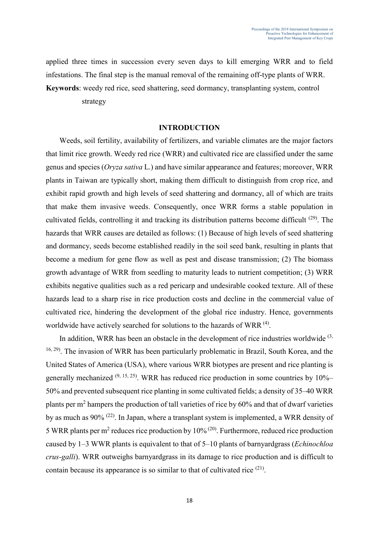applied three times in succession every seven days to kill emerging WRR and to field infestations. The final step is the manual removal of the remaining off-type plants of WRR.

**Keywords**: weedy red rice, seed shattering, seed dormancy, transplanting system, control

strategy

## **INTRODUCTION**

Weeds, soil fertility, availability of fertilizers, and variable climates are the major factors that limit rice growth. Weedy red rice (WRR) and cultivated rice are classified under the same genus and species (*Oryza sativa* L.) and have similar appearance and features; moreover, WRR plants in Taiwan are typically short, making them difficult to distinguish from crop rice, and exhibit rapid growth and high levels of seed shattering and dormancy, all of which are traits that make them invasive weeds. Consequently, once WRR forms a stable population in cultivated fields, controlling it and tracking its distribution patterns become difficult <sup>(29)</sup>. The hazards that WRR causes are detailed as follows: (1) Because of high levels of seed shattering and dormancy, seeds become established readily in the soil seed bank, resulting in plants that become a medium for gene flow as well as pest and disease transmission; (2) The biomass growth advantage of WRR from seedling to maturity leads to nutrient competition; (3) WRR exhibits negative qualities such as a red pericarp and undesirable cooked texture. All of these hazards lead to a sharp rise in rice production costs and decline in the commercial value of cultivated rice, hindering the development of the global rice industry. Hence, governments worldwide have actively searched for solutions to the hazards of WRR<sup>(4)</sup>.

In addition, WRR has been an obstacle in the development of rice industries worldwide  $(3, 1)$ <sup>16, 29)</sup>. The invasion of WRR has been particularly problematic in Brazil, South Korea, and the United States of America (USA), where various WRR biotypes are present and rice planting is generally mechanized  $(9, 15, 25)$ . WRR has reduced rice production in some countries by  $10\%$ – 50% and prevented subsequent rice planting in some cultivated fields; a density of 35–40 WRR plants per m<sup>2</sup> hampers the production of tall varieties of rice by 60% and that of dwarf varieties by as much as 90% (22). In Japan, where a transplant system is implemented, a WRR density of 5 WRR plants per m<sup>2</sup> reduces rice production by  $10\%$  ( $20$ ). Furthermore, reduced rice production caused by 1–3 WWR plants is equivalent to that of 5–10 plants of barnyardgrass (*Echinochloa crus-galli*). WRR outweighs barnyardgrass in its damage to rice production and is difficult to contain because its appearance is so similar to that of cultivated rice <sup>(21)</sup>.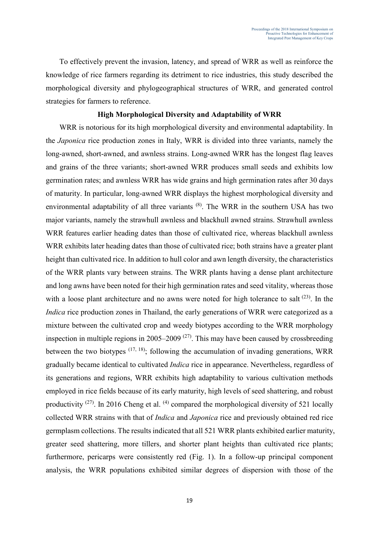To effectively prevent the invasion, latency, and spread of WRR as well as reinforce the knowledge of rice farmers regarding its detriment to rice industries, this study described the morphological diversity and phylogeographical structures of WRR, and generated control strategies for farmers to reference.

## **High Morphological Diversity and Adaptability of WRR**

WRR is notorious for its high morphological diversity and environmental adaptability. In the *Japonica* rice production zones in Italy, WRR is divided into three variants, namely the long-awned, short-awned, and awnless strains. Long-awned WRR has the longest flag leaves and grains of the three variants; short-awned WRR produces small seeds and exhibits low germination rates; and awnless WRR has wide grains and high germination rates after 30 days of maturity. In particular, long-awned WRR displays the highest morphological diversity and environmental adaptability of all three variants <sup>(8)</sup>. The WRR in the southern USA has two major variants, namely the strawhull awnless and blackhull awned strains. Strawhull awnless WRR features earlier heading dates than those of cultivated rice, whereas blackhull awnless WRR exhibits later heading dates than those of cultivated rice; both strains have a greater plant height than cultivated rice. In addition to hull color and awn length diversity, the characteristics of the WRR plants vary between strains. The WRR plants having a dense plant architecture and long awns have been noted for their high germination rates and seed vitality, whereas those with a loose plant architecture and no awns were noted for high tolerance to salt  $(23)$ . In the *Indica* rice production zones in Thailand, the early generations of WRR were categorized as a mixture between the cultivated crop and weedy biotypes according to the WRR morphology inspection in multiple regions in 2005–2009<sup> $(27)$ </sup>. This may have been caused by crossbreeding between the two biotypes  $(17, 18)$ ; following the accumulation of invading generations, WRR gradually became identical to cultivated *Indica* rice in appearance. Nevertheless, regardless of its generations and regions, WRR exhibits high adaptability to various cultivation methods employed in rice fields because of its early maturity, high levels of seed shattering, and robust productivity  $(27)$ . In 2016 Cheng et al.  $(4)$  compared the morphological diversity of 521 locally collected WRR strains with that of *Indica* and *Japonica* rice and previously obtained red rice germplasm collections. The results indicated that all 521 WRR plants exhibited earlier maturity, greater seed shattering, more tillers, and shorter plant heights than cultivated rice plants; furthermore, pericarps were consistently red (Fig. 1). In a follow-up principal component analysis, the WRR populations exhibited similar degrees of dispersion with those of the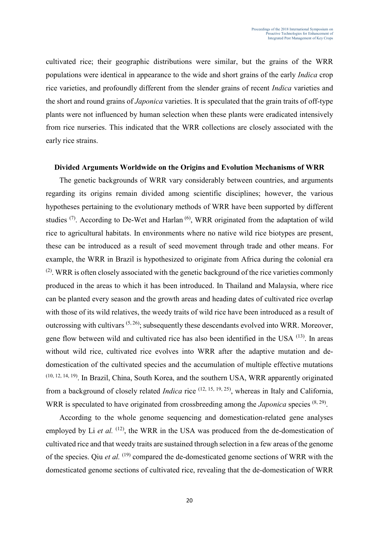cultivated rice; their geographic distributions were similar, but the grains of the WRR populations were identical in appearance to the wide and short grains of the early *Indica* crop rice varieties, and profoundly different from the slender grains of recent *Indica* varieties and the short and round grains of *Japonica* varieties. It is speculated that the grain traits of off-type plants were not influenced by human selection when these plants were eradicated intensively from rice nurseries. This indicated that the WRR collections are closely associated with the early rice strains.

## **Divided Arguments Worldwide on the Origins and Evolution Mechanisms of WRR**

The genetic backgrounds of WRR vary considerably between countries, and arguments regarding its origins remain divided among scientific disciplines; however, the various hypotheses pertaining to the evolutionary methods of WRR have been supported by different studies  $(7)$ . According to De-Wet and Harlan  $(6)$ , WRR originated from the adaptation of wild rice to agricultural habitats. In environments where no native wild rice biotypes are present, these can be introduced as a result of seed movement through trade and other means. For example, the WRR in Brazil is hypothesized to originate from Africa during the colonial era  $(2)$ . WRR is often closely associated with the genetic background of the rice varieties commonly produced in the areas to which it has been introduced. In Thailand and Malaysia, where rice can be planted every season and the growth areas and heading dates of cultivated rice overlap with those of its wild relatives, the weedy traits of wild rice have been introduced as a result of outcrossing with cultivars  $(5, 26)$ ; subsequently these descendants evolved into WRR. Moreover, gene flow between wild and cultivated rice has also been identified in the USA <sup>(13)</sup>. In areas without wild rice, cultivated rice evolves into WRR after the adaptive mutation and dedomestication of the cultivated species and the accumulation of multiple effective mutations (10, 12, 14, 19). In Brazil, China, South Korea, and the southern USA, WRR apparently originated from a background of closely related *Indica* rice <sup>(12, 15, 19, 25)</sup>, whereas in Italy and California, WRR is speculated to have originated from crossbreeding among the *Japonica* species <sup>(8, 29)</sup>.

According to the whole genome sequencing and domestication-related gene analyses employed by Li et al. <sup>(12)</sup>, the WRR in the USA was produced from the de-domestication of cultivated rice and that weedy traits are sustained through selection in a few areas of the genome of the species. Qiu et al. <sup>(19)</sup> compared the de-domesticated genome sections of WRR with the domesticated genome sections of cultivated rice, revealing that the de-domestication of WRR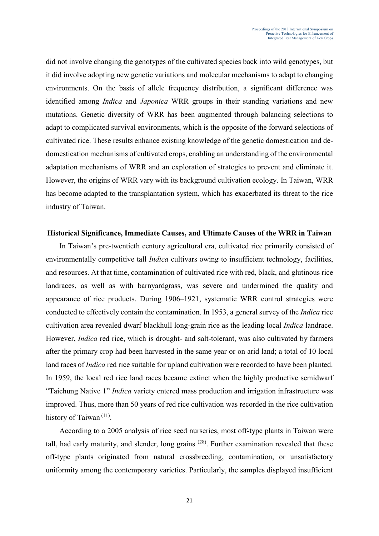did not involve changing the genotypes of the cultivated species back into wild genotypes, but it did involve adopting new genetic variations and molecular mechanisms to adapt to changing environments. On the basis of allele frequency distribution, a significant difference was identified among *Indica* and *Japonica* WRR groups in their standing variations and new mutations. Genetic diversity of WRR has been augmented through balancing selections to adapt to complicated survival environments, which is the opposite of the forward selections of cultivated rice. These results enhance existing knowledge of the genetic domestication and dedomestication mechanisms of cultivated crops, enabling an understanding of the environmental adaptation mechanisms of WRR and an exploration of strategies to prevent and eliminate it. However, the origins of WRR vary with its background cultivation ecology. In Taiwan, WRR has become adapted to the transplantation system, which has exacerbated its threat to the rice industry of Taiwan.

# **Historical Significance, Immediate Causes, and Ultimate Causes of the WRR in Taiwan**

In Taiwan's pre-twentieth century agricultural era, cultivated rice primarily consisted of environmentally competitive tall *Indica* cultivars owing to insufficient technology, facilities, and resources. At that time, contamination of cultivated rice with red, black, and glutinous rice landraces, as well as with barnyardgrass, was severe and undermined the quality and appearance of rice products. During 1906–1921, systematic WRR control strategies were conducted to effectively contain the contamination. In 1953, a general survey of the *Indica* rice cultivation area revealed dwarf blackhull long-grain rice as the leading local *Indica* landrace. However, *Indica* red rice, which is drought- and salt-tolerant, was also cultivated by farmers after the primary crop had been harvested in the same year or on arid land; a total of 10 local land races of *Indica* red rice suitable for upland cultivation were recorded to have been planted. In 1959, the local red rice land races became extinct when the highly productive semidwarf "Taichung Native 1" *Indica* variety entered mass production and irrigation infrastructure was improved. Thus, more than 50 years of red rice cultivation was recorded in the rice cultivation history of Taiwan<sup>(11)</sup>.

According to a 2005 analysis of rice seed nurseries, most off-type plants in Taiwan were tall, had early maturity, and slender, long grains  $(28)$ . Further examination revealed that these off-type plants originated from natural crossbreeding, contamination, or unsatisfactory uniformity among the contemporary varieties. Particularly, the samples displayed insufficient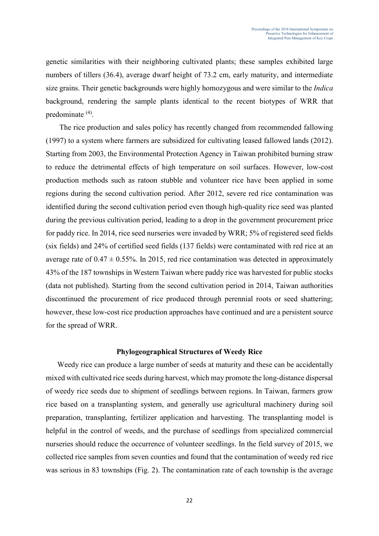genetic similarities with their neighboring cultivated plants; these samples exhibited large numbers of tillers (36.4), average dwarf height of 73.2 cm, early maturity, and intermediate size grains. Their genetic backgrounds were highly homozygous and were similar to the *Indica* background, rendering the sample plants identical to the recent biotypes of WRR that predominate <sup>(4)</sup>.

The rice production and sales policy has recently changed from recommended fallowing (1997) to a system where farmers are subsidized for cultivating leased fallowed lands (2012). Starting from 2003, the Environmental Protection Agency in Taiwan prohibited burning straw to reduce the detrimental effects of high temperature on soil surfaces. However, low-cost production methods such as ratoon stubble and volunteer rice have been applied in some regions during the second cultivation period. After 2012, severe red rice contamination was identified during the second cultivation period even though high-quality rice seed was planted during the previous cultivation period, leading to a drop in the government procurement price for paddy rice. In 2014, rice seed nurseries were invaded by WRR; 5% of registered seed fields (six fields) and 24% of certified seed fields (137 fields) were contaminated with red rice at an average rate of  $0.47 \pm 0.55$ %. In 2015, red rice contamination was detected in approximately 43% of the 187 townships in Western Taiwan where paddy rice was harvested for public stocks (data not published). Starting from the second cultivation period in 2014, Taiwan authorities discontinued the procurement of rice produced through perennial roots or seed shattering; however, these low-cost rice production approaches have continued and are a persistent source for the spread of WRR.

#### **Phylogeographical Structures of Weedy Rice**

Weedy rice can produce a large number of seeds at maturity and these can be accidentally mixed with cultivated rice seeds during harvest, which may promote the long-distance dispersal of weedy rice seeds due to shipment of seedlings between regions. In Taiwan, farmers grow rice based on a transplanting system, and generally use agricultural machinery during soil preparation, transplanting, fertilizer application and harvesting. The transplanting model is helpful in the control of weeds, and the purchase of seedlings from specialized commercial nurseries should reduce the occurrence of volunteer seedlings. In the field survey of 2015, we collected rice samples from seven counties and found that the contamination of weedy red rice was serious in 83 townships (Fig. 2). The contamination rate of each township is the average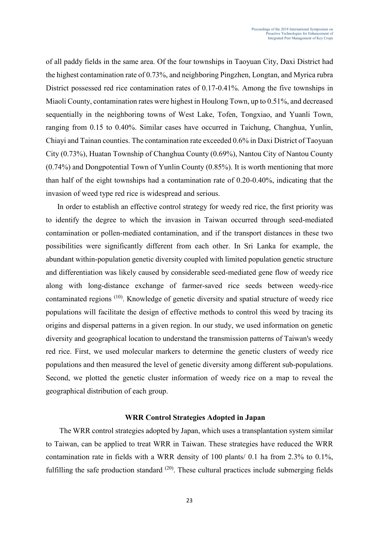of all paddy fields in the same area. Of the four townships in Taoyuan City, Daxi District had the highest contamination rate of 0.73%, and neighboring Pingzhen, Longtan, and Myrica rubra District possessed red rice contamination rates of 0.17-0.41%. Among the five townships in Miaoli County, contamination rates were highest in Houlong Town, up to 0.51%, and decreased sequentially in the neighboring towns of West Lake, Tofen, Tongxiao, and Yuanli Town, ranging from 0.15 to 0.40%. Similar cases have occurred in Taichung, Changhua, Yunlin, Chiayi and Tainan counties. The contamination rate exceeded 0.6% in Daxi District of Taoyuan City (0.73%), Huatan Township of Changhua County (0.69%), Nantou City of Nantou County (0.74%) and Dongpotential Town of Yunlin County (0.85%). It is worth mentioning that more than half of the eight townships had a contamination rate of 0.20-0.40%, indicating that the invasion of weed type red rice is widespread and serious.

In order to establish an effective control strategy for weedy red rice, the first priority was to identify the degree to which the invasion in Taiwan occurred through seed-mediated contamination or pollen-mediated contamination, and if the transport distances in these two possibilities were significantly different from each other. In Sri Lanka for example, the abundant within-population genetic diversity coupled with limited population genetic structure and differentiation was likely caused by considerable seed-mediated gene flow of weedy rice along with long-distance exchange of farmer-saved rice seeds between weedy-rice contaminated regions<sup>(10)</sup>. Knowledge of genetic diversity and spatial structure of weedy rice populations will facilitate the design of effective methods to control this weed by tracing its origins and dispersal patterns in a given region. In our study, we used information on genetic diversity and geographical location to understand the transmission patterns of Taiwan's weedy red rice. First, we used molecular markers to determine the genetic clusters of weedy rice populations and then measured the level of genetic diversity among different sub-populations. Second, we plotted the genetic cluster information of weedy rice on a map to reveal the geographical distribution of each group.

## **WRR Control Strategies Adopted in Japan**

The WRR control strategies adopted by Japan, which uses a transplantation system similar to Taiwan, can be applied to treat WRR in Taiwan. These strategies have reduced the WRR contamination rate in fields with a WRR density of 100 plants/ 0.1 ha from 2.3% to 0.1%, fulfilling the safe production standard  $(20)$ . These cultural practices include submerging fields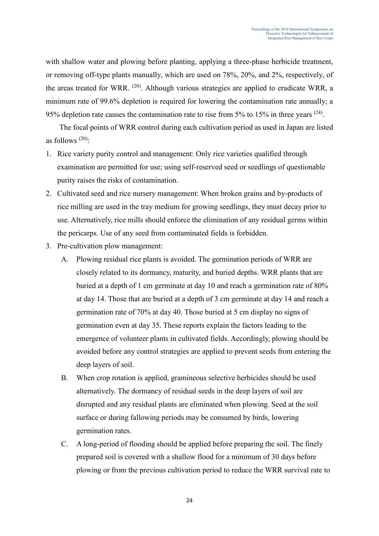with shallow water and plowing before planting, applying a three-phase herbicide treatment, or removing off-type plants manually, which are used on 78%, 20%, and 2%, respectively, of the areas treated for WRR. <sup>(20)</sup>. Although various strategies are applied to eradicate WRR, a minimum rate of 99.6% depletion is required for lowering the contamination rate annually; a 95% depletion rate causes the contamination rate to rise from 5% to 15% in three years  $(24)$ .

The focal points of WRR control during each cultivation period as used in Japan are listed as follows  $(20)$ :

- 1. Rice variety purity control and management: Only rice varieties qualified through examination are permitted for use; using self-reserved seed or seedlings of questionable purity raises the risks of contamination.
- 2. Cultivated seed and rice nursery management: When broken grains and by-products of rice milling are used in the tray medium for growing seedlings, they must decay prior to use. Alternatively, rice mills should enforce the elimination of any residual germs within the pericarps. Use of any seed from contaminated fields is forbidden.
- 3. Pre-cultivation plow management:
	- A. Plowing residual rice plants is avoided. The germination periods of WRR are closely related to its dormancy, maturity, and buried depths. WRR plants that are buried at a depth of 1 cm germinate at day 10 and reach a germination rate of 80% at day 14. Those that are buried at a depth of 3 cm germinate at day 14 and reach a germination rate of 70% at day 40. Those buried at 5 cm display no signs of germination even at day 35. These reports explain the factors leading to the emergence of volunteer plants in cultivated fields. Accordingly, plowing should be avoided before any control strategies are applied to prevent seeds from entering the deep layers of soil.
	- B. When crop rotation is applied, gramineous selective herbicides should be used alternatively. The dormancy of residual seeds in the deep layers of soil are disrupted and any residual plants are eliminated when plowing. Seed at the soil surface or during fallowing periods may be consumed by birds, lowering germination rates.
	- C. A long-period of flooding should be applied before preparing the soil. The finely prepared soil is covered with a shallow flood for a minimum of 30 days before plowing or from the previous cultivation period to reduce the WRR survival rate to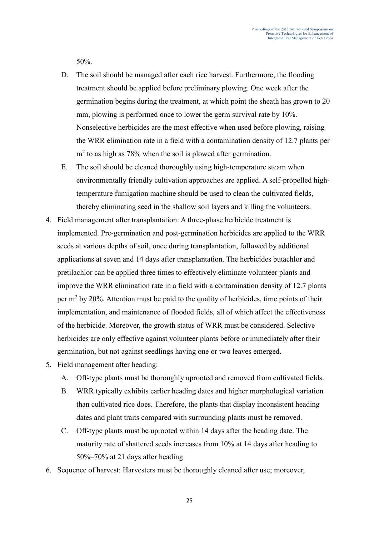50%.

- D. The soil should be managed after each rice harvest. Furthermore, the flooding treatment should be applied before preliminary plowing. One week after the germination begins during the treatment, at which point the sheath has grown to 20 mm, plowing is performed once to lower the germ survival rate by 10%. Nonselective herbicides are the most effective when used before plowing, raising the WRR elimination rate in a field with a contamination density of 12.7 plants per m<sup>2</sup> to as high as 78% when the soil is plowed after germination.
- E. The soil should be cleaned thoroughly using high-temperature steam when environmentally friendly cultivation approaches are applied. A self-propelled hightemperature fumigation machine should be used to clean the cultivated fields, thereby eliminating seed in the shallow soil layers and killing the volunteers.
- 4. Field management after transplantation: A three-phase herbicide treatment is implemented. Pre-germination and post-germination herbicides are applied to the WRR seeds at various depths of soil, once during transplantation, followed by additional applications at seven and 14 days after transplantation. The herbicides butachlor and pretilachlor can be applied three times to effectively eliminate volunteer plants and improve the WRR elimination rate in a field with a contamination density of 12.7 plants per m<sup>2</sup> by 20%. Attention must be paid to the quality of herbicides, time points of their implementation, and maintenance of flooded fields, all of which affect the effectiveness of the herbicide. Moreover, the growth status of WRR must be considered. Selective herbicides are only effective against volunteer plants before or immediately after their germination, but not against seedlings having one or two leaves emerged.
- 5. Field management after heading:
	- A. Off-type plants must be thoroughly uprooted and removed from cultivated fields.
	- B. WRR typically exhibits earlier heading dates and higher morphological variation than cultivated rice does. Therefore, the plants that display inconsistent heading dates and plant traits compared with surrounding plants must be removed.
	- C. Off-type plants must be uprooted within 14 days after the heading date. The maturity rate of shattered seeds increases from 10% at 14 days after heading to 50%–70% at 21 days after heading.
- 6. Sequence of harvest: Harvesters must be thoroughly cleaned after use; moreover,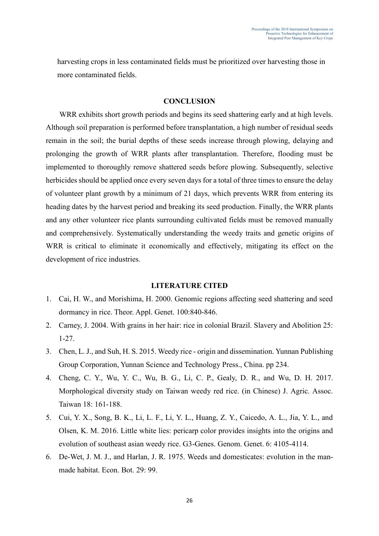harvesting crops in less contaminated fields must be prioritized over harvesting those in more contaminated fields.

# **CONCLUSION**

WRR exhibits short growth periods and begins its seed shattering early and at high levels. Although soil preparation is performed before transplantation, a high number of residual seeds remain in the soil; the burial depths of these seeds increase through plowing, delaying and prolonging the growth of WRR plants after transplantation. Therefore, flooding must be implemented to thoroughly remove shattered seeds before plowing. Subsequently, selective herbicides should be applied once every seven days for a total of three times to ensure the delay of volunteer plant growth by a minimum of 21 days, which prevents WRR from entering its heading dates by the harvest period and breaking its seed production. Finally, the WRR plants and any other volunteer rice plants surrounding cultivated fields must be removed manually and comprehensively. Systematically understanding the weedy traits and genetic origins of WRR is critical to eliminate it economically and effectively, mitigating its effect on the development of rice industries.

#### **LITERATURE CITED**

- 1. Cai, H. W., and Morishima, H. 2000. Genomic regions affecting seed shattering and seed dormancy in rice. Theor. Appl. Genet. 100:840-846.
- 2. Carney, J. 2004. With grains in her hair: rice in colonial Brazil. Slavery and Abolition 25: 1-27.
- 3. Chen, L. J., and Suh, H. S. 2015. Weedy rice origin and dissemination. Yunnan Publishing Group Corporation, Yunnan Science and Technology Press., China. pp 234.
- 4. Cheng, C. Y., Wu, Y. C., Wu, B. G., Li, C. P., Gealy, D. R., and Wu, D. H. 2017. Morphological diversity study on Taiwan weedy red rice. (in Chinese) J. Agric. Assoc. Taiwan 18: 161-188.
- 5. Cui, Y. X., Song, B. K., Li, L. F., Li, Y. L., Huang, Z. Y., Caicedo, A. L., Jia, Y. L., and Olsen, K. M. 2016. Little white lies: pericarp color provides insights into the origins and evolution of southeast asian weedy rice. G3-Genes. Genom. Genet. 6: 4105-4114.
- 6. De-Wet, J. M. J., and Harlan, J. R. 1975. Weeds and domesticates: evolution in the manmade habitat. Econ. Bot. 29: 99.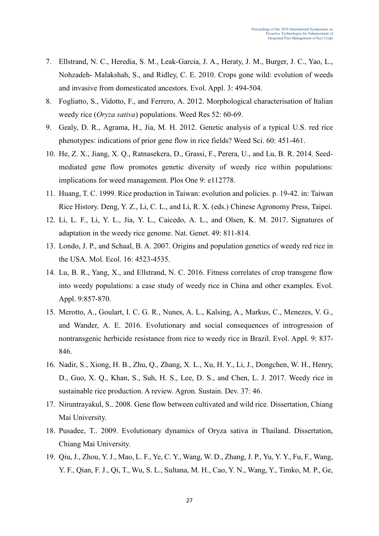- 7. Ellstrand, N. C., Heredia, S. M., Leak-Garcia, J. A., Heraty, J. M., Burger, J. C., Yao, L., Nohzadeh- Malakshah, S., and Ridley, C. E. 2010. Crops gone wild: evolution of weeds and invasive from domesticated ancestors. Evol. Appl. 3: 494-504.
- 8. Fogliatto, S., Vidotto, F., and Ferrero, A. 2012. Morphological characterisation of Italian weedy rice (*Oryza sativa*) populations. Weed Res 52: 60-69.
- 9. Gealy, D. R., Agrama, H., Jia, M. H. 2012. Genetic analysis of a typical U.S. red rice phenotypes: indications of prior gene flow in rice fields? Weed Sci. 60: 451-461.
- 10. He, Z. X., Jiang, X. Q., Ratnasekera, D., Grassi, F., Perera, U., and Lu, B. R. 2014. Seedmediated gene flow promotes genetic diversity of weedy rice within populations: implications for weed management. Plos One 9: e112778.
- 11. Huang, T. C. 1999. Rice production in Taiwan: evolution and policies. p. 19-42. in: Taiwan Rice History. Deng, Y. Z., Li, C. L., and Li, R. X. (eds.) Chinese Agronomy Press, Taipei.
- 12. Li, L. F., Li, Y. L., Jia, Y. L., Caicedo, A. L., and Olsen, K. M. 2017. Signatures of adaptation in the weedy rice genome. Nat. Genet. 49: 811-814.
- 13. Londo, J. P., and Schaal, B. A. 2007. Origins and population genetics of weedy red rice in the USA. Mol. Ecol. 16: 4523-4535.
- 14. Lu, B. R., Yang, X., and Ellstrand, N. C. 2016. Fitness correlates of crop transgene flow into weedy populations: a case study of weedy rice in China and other examples. Evol. Appl. 9:857-870.
- 15. Merotto, A., Goulart, I. C. G. R., Nunes, A. L., Kalsing, A., Markus, C., Menezes, V. G., and Wander, A. E. 2016. Evolutionary and social consequences of introgression of nontransgenic herbicide resistance from rice to weedy rice in Brazil. Evol. Appl. 9: 837- 846.
- 16. Nadir, S., Xiong, H. B., Zhu, Q., Zhang, X. L., Xu, H. Y., Li, J., Dongchen, W. H., Henry, D., Guo, X. Q., Khan, S., Suh, H. S., Lee, D. S., and Chen, L. J. 2017. Weedy rice in sustainable rice production. A review. Agron. Sustain. Dev. 37: 46.
- 17. Niruntrayakul, S.. 2008. Gene flow between cultivated and wild rice. Dissertation, Chiang Mai University.
- 18. Pusadee, T.. 2009. Evolutionary dynamics of Oryza sativa in Thailand. Dissertation, Chiang Mai University.
- 19. Qiu, J., Zhou, Y. J., Mao, L. F., Ye, C. Y., Wang, W. D., Zhang, J. P., Yu, Y. Y., Fu, F., Wang, Y. F., Qian, F. J., Qi, T., Wu, S. L., Sultana, M. H., Cao, Y. N., Wang, Y., Timko, M. P., Ge,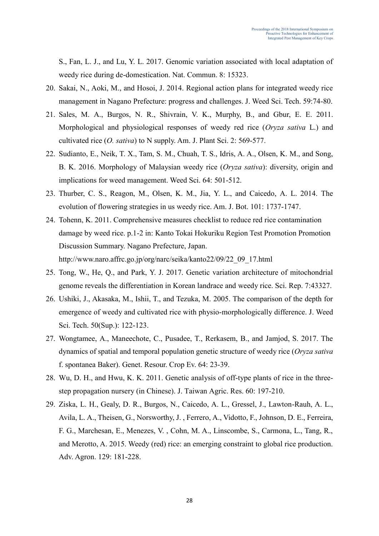S., Fan, L. J., and Lu, Y. L. 2017. Genomic variation associated with local adaptation of weedy rice during de-domestication. Nat. Commun. 8: 15323.

- 20. Sakai, N., Aoki, M., and Hosoi, J. 2014. Regional action plans for integrated weedy rice management in Nagano Prefecture: progress and challenges. J. Weed Sci. Tech. 59:74-80.
- 21. Sales, M. A., Burgos, N. R., Shivrain, V. K., Murphy, B., and Gbur, E. E. 2011. Morphological and physiological responses of weedy red rice (*Oryza sativa* L.) and cultivated rice (*O. sativa*) to N supply. Am. J. Plant Sci. 2: 569-577.
- 22. Sudianto, E., Neik, T. X., Tam, S. M., Chuah, T. S., Idris, A. A., Olsen, K. M., and Song, B. K. 2016. Morphology of Malaysian weedy rice (*Oryza sativa*): diversity, origin and implications for weed management. Weed Sci. 64: 501-512.
- 23. Thurber, C. S., Reagon, M., Olsen, K. M., Jia, Y. L., and Caicedo, A. L. 2014. The evolution of flowering strategies in us weedy rice. Am. J. Bot. 101: 1737-1747.
- 24. Tohenn, K. 2011. Comprehensive measures checklist to reduce red rice contamination damage by weed rice. p.1-2 in: Kanto Tokai Hokuriku Region Test Promotion Promotion Discussion Summary. Nagano Prefecture, Japan. http://www.naro.affrc.go.jp/org/narc/seika/kanto22/09/22\_09\_17.html
- 25. Tong, W., He, Q., and Park, Y. J. 2017. Genetic variation architecture of mitochondrial genome reveals the differentiation in Korean landrace and weedy rice. Sci. Rep. 7:43327.
- 26. Ushiki, J., Akasaka, M., Ishii, T., and Tezuka, M. 2005. The comparison of the depth for emergence of weedy and cultivated rice with physio-morphologically difference. J. Weed Sci. Tech. 50(Sup.): 122-123.
- 27. Wongtamee, A., Maneechote, C., Pusadee, T., Rerkasem, B., and Jamjod, S. 2017. The dynamics of spatial and temporal population genetic structure of weedy rice (*Oryza sativa* f. spontanea Baker). Genet. Resour. Crop Ev. 64: 23-39.
- 28. Wu, D. H., and Hwu, K. K. 2011. Genetic analysis of off-type plants of rice in the threestep propagation nursery (in Chinese). J. Taiwan Agric. Res. 60: 197-210.
- 29. Ziska, L. H., Gealy, D. R., Burgos, N., Caicedo, A. L., Gressel, J., Lawton-Rauh, A. L., Avila, L. A., Theisen, G., Norsworthy, J. , Ferrero, A., Vidotto, F., Johnson, D. E., Ferreira, F. G., Marchesan, E., Menezes, V. , Cohn, M. A., Linscombe, S., Carmona, L., Tang, R., and Merotto, A. 2015. Weedy (red) rice: an emerging constraint to global rice production. Adv. Agron. 129: 181-228.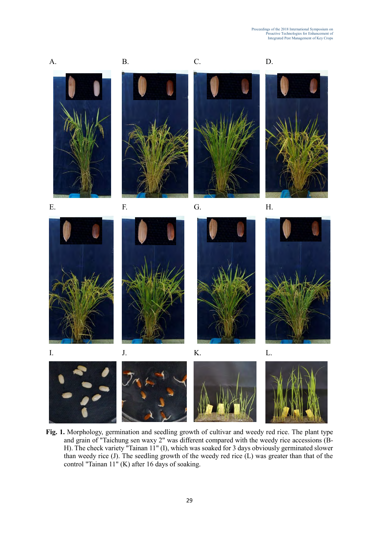

**Fig. 1.** Morphology, germination and seedling growth of cultivar and weedy red rice. The plant type and grain of "Taichung sen waxy 2" was different compared with the weedy rice accessions (B-H). The check variety "Tainan 11" (I), which was soaked for 3 days obviously germinated slower than weedy rice (J). The seedling growth of the weedy red rice (L) was greater than that of the control "Tainan 11" (K) after 16 days of soaking.